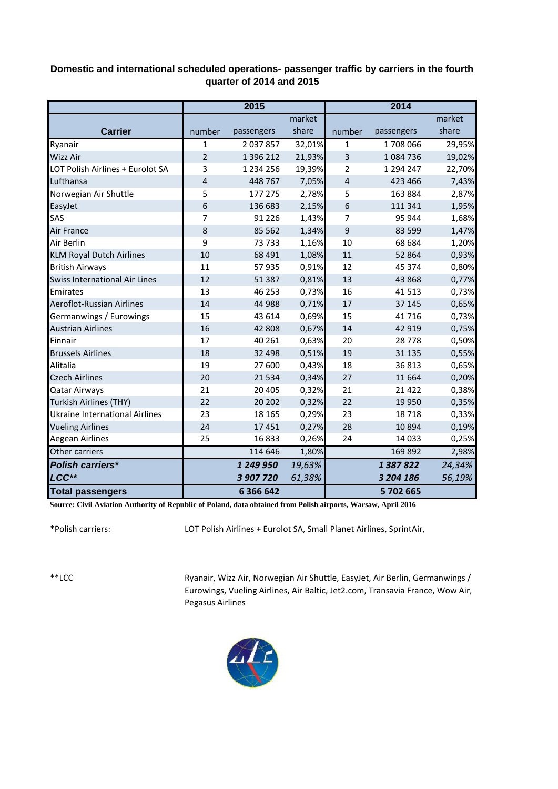## **Domestic and international scheduled operations- passenger traffic by carriers in the fourth quarter of 2014 and 2015**

|                                      | 2015           |               |        | 2014         |            |        |
|--------------------------------------|----------------|---------------|--------|--------------|------------|--------|
|                                      |                |               | market |              |            | market |
| <b>Carrier</b>                       | number         | passengers    | share  | number       | passengers | share  |
| Ryanair                              | 1              | 2 0 3 7 8 5 7 | 32,01% | $\mathbf{1}$ | 1708066    | 29,95% |
| <b>Wizz Air</b>                      | $\overline{2}$ | 1 396 212     | 21,93% | 3            | 1084736    | 19,02% |
| LOT Polish Airlines + Eurolot SA     | 3              | 1 2 3 4 2 5 6 | 19,39% | 2            | 1 294 247  | 22,70% |
| Lufthansa                            | 4              | 448 767       | 7,05%  | 4            | 423 466    | 7,43%  |
| Norwegian Air Shuttle                | 5              | 177 275       | 2,78%  | 5            | 163 884    | 2,87%  |
| EasyJet                              | 6              | 136 683       | 2,15%  | 6            | 111 341    | 1,95%  |
| SAS                                  | 7              | 91 2 2 6      | 1,43%  | 7            | 95 944     | 1,68%  |
| <b>Air France</b>                    | 8              | 85 562        | 1,34%  | 9            | 83 599     | 1,47%  |
| Air Berlin                           | 9              | 73733         | 1,16%  | 10           | 68 684     | 1,20%  |
| <b>KLM Royal Dutch Airlines</b>      | 10             | 68 4 91       | 1,08%  | 11           | 52 864     | 0,93%  |
| <b>British Airways</b>               | 11             | 57 935        | 0,91%  | 12           | 45 374     | 0,80%  |
| <b>Swiss International Air Lines</b> | 12             | 51 387        | 0,81%  | 13           | 43 8 68    | 0,77%  |
| Emirates                             | 13             | 46 253        | 0,73%  | 16           | 41513      | 0,73%  |
| Aeroflot-Russian Airlines            | 14             | 44 988        | 0,71%  | 17           | 37 145     | 0,65%  |
| Germanwings / Eurowings              | 15             | 43 614        | 0,69%  | 15           | 41716      | 0,73%  |
| <b>Austrian Airlines</b>             | 16             | 42 808        | 0,67%  | 14           | 42 919     | 0,75%  |
| Finnair                              | 17             | 40 261        | 0,63%  | 20           | 28778      | 0,50%  |
| <b>Brussels Airlines</b>             | 18             | 32 4 98       | 0,51%  | 19           | 31 1 35    | 0,55%  |
| Alitalia                             | 19             | 27 600        | 0,43%  | 18           | 36813      | 0,65%  |
| <b>Czech Airlines</b>                | 20             | 21 5 34       | 0,34%  | 27           | 11 6 6 4   | 0,20%  |
| <b>Qatar Airways</b>                 | 21             | 20 4 05       | 0,32%  | 21           | 21 4 22    | 0,38%  |
| <b>Turkish Airlines (THY)</b>        | 22             | 20 20 2       | 0,32%  | 22           | 19 9 50    | 0,35%  |
| Ukraine International Airlines       | 23             | 18 165        | 0,29%  | 23           | 18718      | 0,33%  |
| <b>Vueling Airlines</b>              | 24             | 17451         | 0,27%  | 28           | 10894      | 0,19%  |
| Aegean Airlines                      | 25             | 16833         | 0,26%  | 24           | 14 0 33    | 0,25%  |
| Other carriers                       |                | 114 646       | 1,80%  |              | 169 892    | 2,98%  |
| <b>Polish carriers*</b>              |                | 1 249 950     | 19,63% |              | 1387822    | 24,34% |
| LCC**                                |                | 3 907 720     | 61,38% |              | 3 204 186  | 56,19% |
| <b>Total passengers</b>              |                | 6 3 6 6 4 2   |        |              | 5702665    |        |

**Source: Civil Aviation Authority of Republic of Poland, data obtained from Polish airports, Warsaw, April 2016**

\*Polish carriers:

LOT Polish Airlines + Eurolot SA, Small Planet Airlines, SprintAir,

\*\*LCC

Ryanair, Wizz Air, Norwegian Air Shuttle, EasyJet, Air Berlin, Germanwings / Eurowings, Vueling Airlines, Air Baltic, Jet2.com, Transavia France, Wow Air, Pegasus Airlines